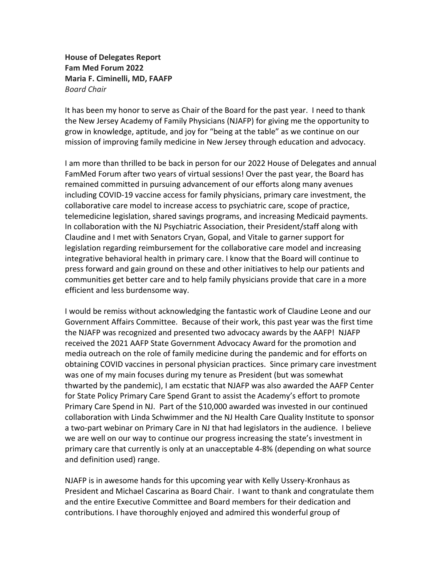**House of Delegates Report Fam Med Forum 2022 Maria F. Ciminelli, MD, FAAFP** *Board Chair* 

It has been my honor to serve as Chair of the Board for the past year. I need to thank the New Jersey Academy of Family Physicians (NJAFP) for giving me the opportunity to grow in knowledge, aptitude, and joy for "being at the table" as we continue on our mission of improving family medicine in New Jersey through education and advocacy.

I am more than thrilled to be back in person for our 2022 House of Delegates and annual FamMed Forum after two years of virtual sessions! Over the past year, the Board has remained committed in pursuing advancement of our efforts along many avenues including COVID-19 vaccine access for family physicians, primary care investment, the collaborative care model to increase access to psychiatric care, scope of practice, telemedicine legislation, shared savings programs, and increasing Medicaid payments. In collaboration with the NJ Psychiatric Association, their President/staff along with Claudine and I met with Senators Cryan, Gopal, and Vitale to garner support for legislation regarding reimbursement for the collaborative care model and increasing integrative behavioral health in primary care. I know that the Board will continue to press forward and gain ground on these and other initiatives to help our patients and communities get better care and to help family physicians provide that care in a more efficient and less burdensome way.

I would be remiss without acknowledging the fantastic work of Claudine Leone and our Government Affairs Committee. Because of their work, this past year was the first time the NJAFP was recognized and presented two advocacy awards by the AAFP! NJAFP received the 2021 AAFP State Government Advocacy Award for the promotion and media outreach on the role of family medicine during the pandemic and for efforts on obtaining COVID vaccines in personal physician practices. Since primary care investment was one of my main focuses during my tenure as President (but was somewhat thwarted by the pandemic), I am ecstatic that NJAFP was also awarded the AAFP Center for State Policy Primary Care Spend Grant to assist the Academy's effort to promote Primary Care Spend in NJ. Part of the \$10,000 awarded was invested in our continued collaboration with Linda Schwimmer and the NJ Health Care Quality Institute to sponsor a two-part webinar on Primary Care in NJ that had legislators in the audience. I believe we are well on our way to continue our progress increasing the state's investment in primary care that currently is only at an unacceptable 4-8% (depending on what source and definition used) range.

NJAFP is in awesome hands for this upcoming year with Kelly Ussery-Kronhaus as President and Michael Cascarina as Board Chair. I want to thank and congratulate them and the entire Executive Committee and Board members for their dedication and contributions. I have thoroughly enjoyed and admired this wonderful group of